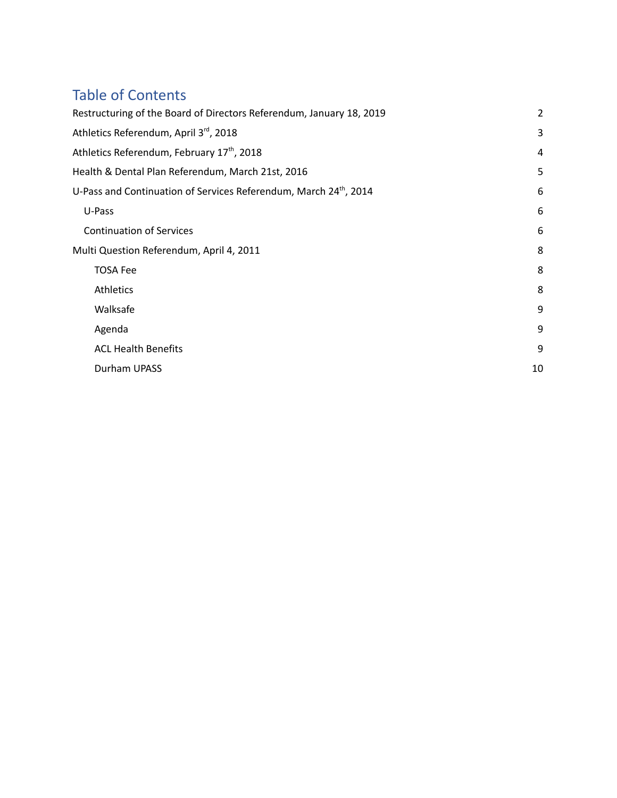# Table of Contents

| Restructuring of the Board of Directors Referendum, January 18, 2019          | $\overline{2}$ |
|-------------------------------------------------------------------------------|----------------|
| Athletics Referendum, April 3rd, 2018                                         | 3              |
| Athletics Referendum, February 17 <sup>th</sup> , 2018                        | 4              |
| Health & Dental Plan Referendum, March 21st, 2016                             | 5              |
| U-Pass and Continuation of Services Referendum, March 24 <sup>th</sup> , 2014 | 6              |
| U-Pass                                                                        | 6              |
| <b>Continuation of Services</b>                                               | 6              |
| Multi Question Referendum, April 4, 2011                                      | 8              |
| <b>TOSA Fee</b>                                                               | 8              |
| Athletics                                                                     | 8              |
| Walksafe                                                                      | 9              |
| Agenda                                                                        | 9              |
| <b>ACL Health Benefits</b>                                                    | 9              |
| Durham UPASS                                                                  | 10             |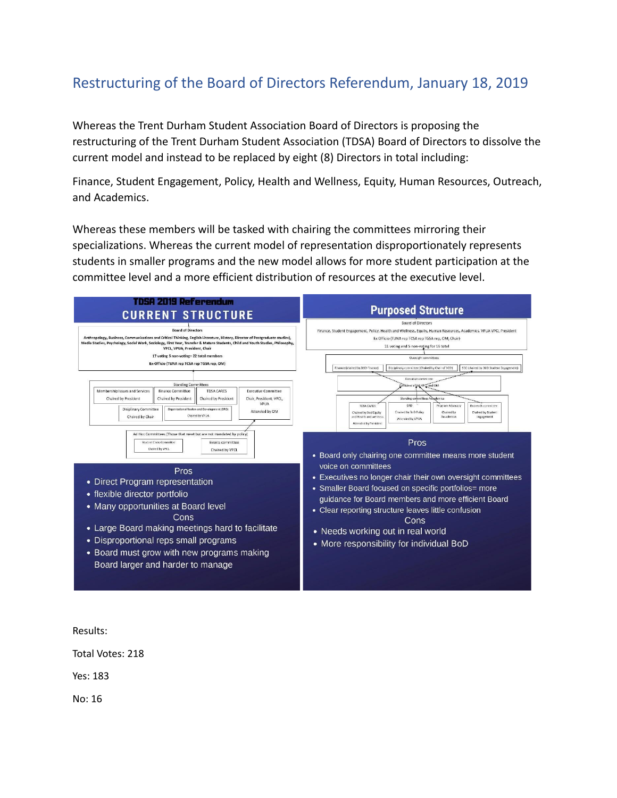# <span id="page-1-0"></span>Restructuring of the Board of Directors Referendum, January 18, 2019

Whereas the Trent Durham Student Association Board of Directors is proposing the restructuring of the Trent Durham Student Association (TDSA) Board of Directors to dissolve the current model and instead to be replaced by eight (8) Directors in total including:

Finance, Student Engagement, Policy, Health and Wellness, Equity, Human Resources, Outreach, and Academics.

Whereas these members will be tasked with chairing the committees mirroring their specializations. Whereas the current model of representation disproportionately represents students in smaller programs and the new model allows for more student participation at the committee level and a more efficient distribution of resources at the executive level.



Results:

Total Votes: 218

Yes: 183

No: 16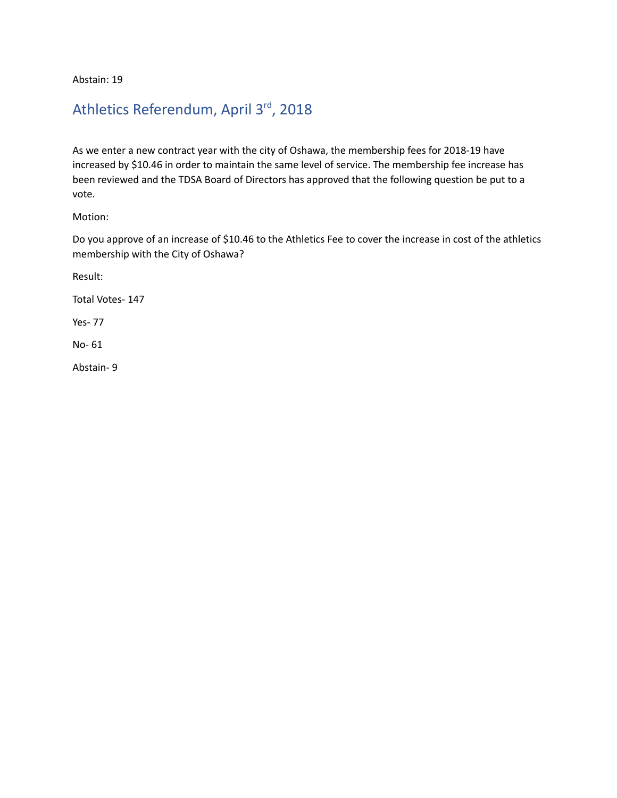Abstain: 19

## <span id="page-2-0"></span>Athletics Referendum, April 3<sup>rd</sup>, 2018

As we enter a new contract year with the city of Oshawa, the membership fees for 2018-19 have increased by \$10.46 in order to maintain the same level of service. The membership fee increase has been reviewed and the TDSA Board of Directors has approved that the following question be put to a vote.

Motion:

Do you approve of an increase of \$10.46 to the Athletics Fee to cover the increase in cost of the athletics membership with the City of Oshawa?

Result:

Total Votes- 147

Yes- 77

No- 61

Abstain- 9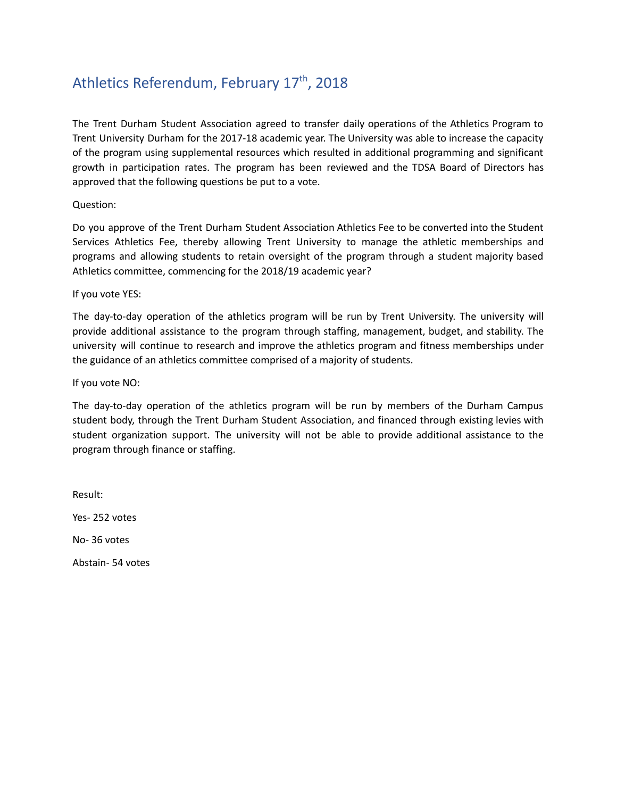# <span id="page-3-0"></span>Athletics Referendum, February 17<sup>th</sup>, 2018

The Trent Durham Student Association agreed to transfer daily operations of the Athletics Program to Trent University Durham for the 2017-18 academic year. The University was able to increase the capacity of the program using supplemental resources which resulted in additional programming and significant growth in participation rates. The program has been reviewed and the TDSA Board of Directors has approved that the following questions be put to a vote.

Question:

Do you approve of the Trent Durham Student Association Athletics Fee to be converted into the Student Services Athletics Fee, thereby allowing Trent University to manage the athletic memberships and programs and allowing students to retain oversight of the program through a student majority based Athletics committee, commencing for the 2018/19 academic year?

If you vote YES:

The day-to-day operation of the athletics program will be run by Trent University. The university will provide additional assistance to the program through staffing, management, budget, and stability. The university will continue to research and improve the athletics program and fitness memberships under the guidance of an athletics committee comprised of a majority of students.

If you vote NO:

The day-to-day operation of the athletics program will be run by members of the Durham Campus student body, through the Trent Durham Student Association, and financed through existing levies with student organization support. The university will not be able to provide additional assistance to the program through finance or staffing.

Result: Yes- 252 votes No- 36 votes

Abstain- 54 votes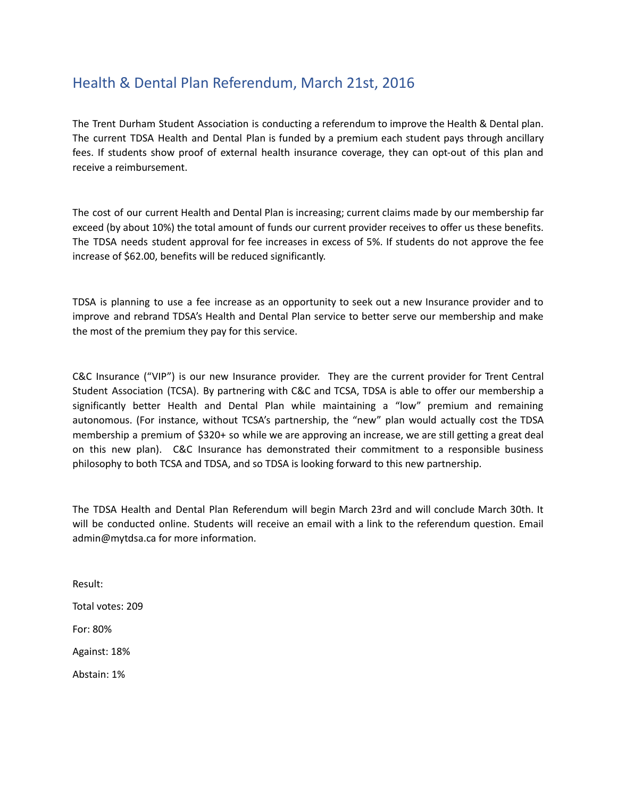## <span id="page-4-0"></span>Health & Dental Plan Referendum, March 21st, 2016

The Trent Durham Student Association is conducting a referendum to improve the Health & Dental plan. The current TDSA Health and Dental Plan is funded by a premium each student pays through ancillary fees. If students show proof of external health insurance coverage, they can opt-out of this plan and receive a reimbursement.

The cost of our current Health and Dental Plan is increasing; current claims made by our membership far exceed (by about 10%) the total amount of funds our current provider receives to offer us these benefits. The TDSA needs student approval for fee increases in excess of 5%. If students do not approve the fee increase of \$62.00, benefits will be reduced significantly.

TDSA is planning to use a fee increase as an opportunity to seek out a new Insurance provider and to improve and rebrand TDSA's Health and Dental Plan service to better serve our membership and make the most of the premium they pay for this service.

C&C Insurance ("VIP") is our new Insurance provider. They are the current provider for Trent Central Student Association (TCSA). By partnering with C&C and TCSA, TDSA is able to offer our membership a significantly better Health and Dental Plan while maintaining a "low" premium and remaining autonomous. (For instance, without TCSA's partnership, the "new" plan would actually cost the TDSA membership a premium of \$320+ so while we are approving an increase, we are still getting a great deal on this new plan). C&C Insurance has demonstrated their commitment to a responsible business philosophy to both TCSA and TDSA, and so TDSA is looking forward to this new partnership.

The TDSA Health and Dental Plan Referendum will begin March 23rd and will conclude March 30th. It will be conducted online. Students will receive an email with a link to the referendum question. Email admin@mytdsa.ca for more information.

Result:

Total votes: 209

For: 80%

Against: 18%

Abstain: 1%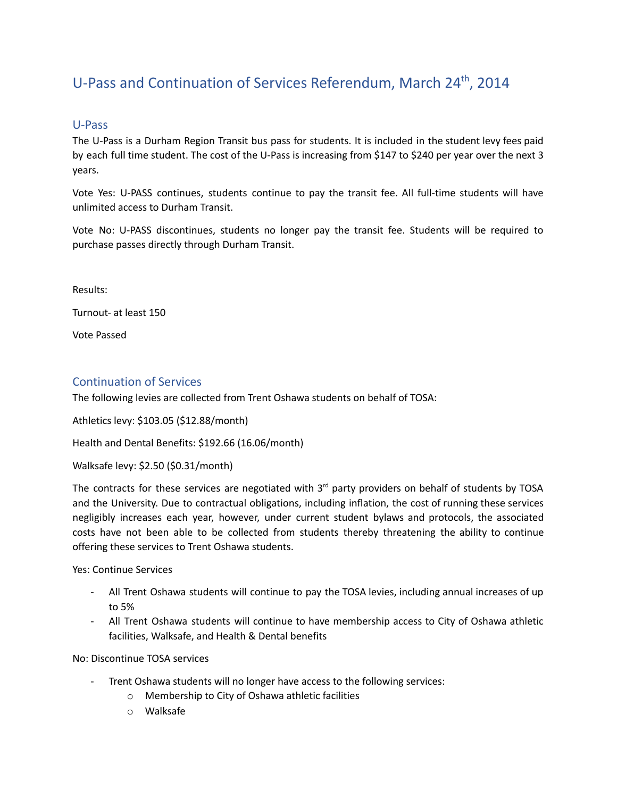# <span id="page-5-0"></span>U-Pass and Continuation of Services Referendum, March 24<sup>th</sup>, 2014

### <span id="page-5-1"></span>U-Pass

The U-Pass is a Durham Region Transit bus pass for students. It is included in the student levy fees paid by each full time student. The cost of the U-Pass is increasing from \$147 to \$240 per year over the next 3 years.

Vote Yes: U-PASS continues, students continue to pay the transit fee. All full-time students will have unlimited access to Durham Transit.

Vote No: U-PASS discontinues, students no longer pay the transit fee. Students will be required to purchase passes directly through Durham Transit.

Results:

Turnout- at least 150

Vote Passed

### <span id="page-5-2"></span>Continuation of Services

The following levies are collected from Trent Oshawa students on behalf of TOSA:

Athletics levy: \$103.05 (\$12.88/month)

Health and Dental Benefits: \$192.66 (16.06/month)

Walksafe levy: \$2.50 (\$0.31/month)

The contracts for these services are negotiated with  $3<sup>rd</sup>$  party providers on behalf of students by TOSA and the University. Due to contractual obligations, including inflation, the cost of running these services negligibly increases each year, however, under current student bylaws and protocols, the associated costs have not been able to be collected from students thereby threatening the ability to continue offering these services to Trent Oshawa students.

Yes: Continue Services

- All Trent Oshawa students will continue to pay the TOSA levies, including annual increases of up to 5%
- All Trent Oshawa students will continue to have membership access to City of Oshawa athletic facilities, Walksafe, and Health & Dental benefits

No: Discontinue TOSA services

- Trent Oshawa students will no longer have access to the following services:
	- o Membership to City of Oshawa athletic facilities
	- o Walksafe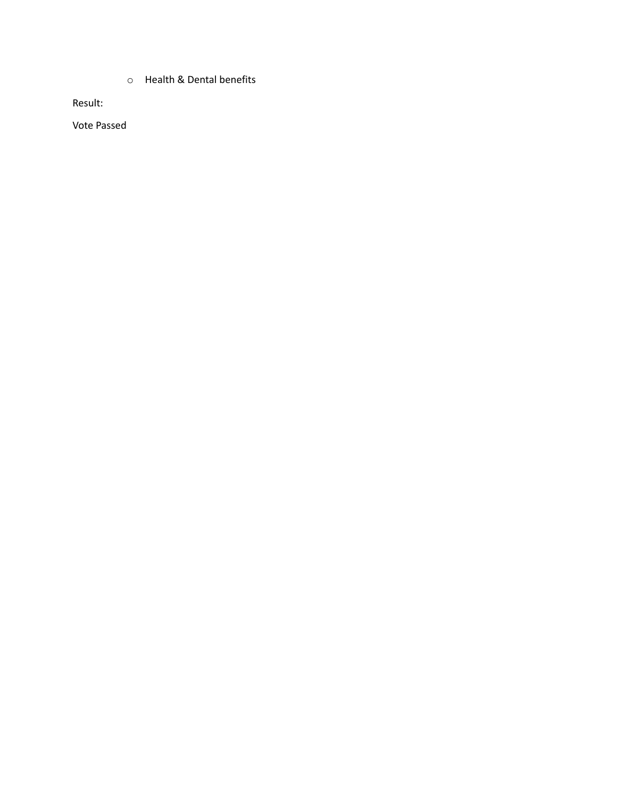o Health & Dental benefits

Result:

Vote Passed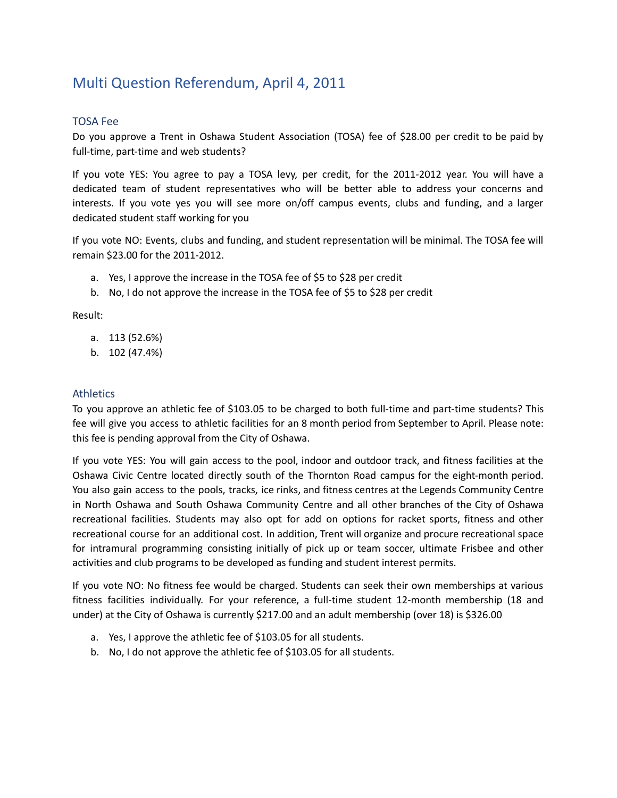## <span id="page-7-0"></span>Multi Question Referendum, April 4, 2011

### <span id="page-7-1"></span>TOSA Fee

Do you approve a Trent in Oshawa Student Association (TOSA) fee of \$28.00 per credit to be paid by full-time, part-time and web students?

If you vote YES: You agree to pay a TOSA levy, per credit, for the 2011-2012 year. You will have a dedicated team of student representatives who will be better able to address your concerns and interests. If you vote yes you will see more on/off campus events, clubs and funding, and a larger dedicated student staff working for you

If you vote NO: Events, clubs and funding, and student representation will be minimal. The TOSA fee will remain \$23.00 for the 2011-2012.

- a. Yes, I approve the increase in the TOSA fee of \$5 to \$28 per credit
- b. No, I do not approve the increase in the TOSA fee of \$5 to \$28 per credit

Result:

- a. 113 (52.6%)
- b. 102 (47.4%)

### <span id="page-7-2"></span>**Athletics**

To you approve an athletic fee of \$103.05 to be charged to both full-time and part-time students? This fee will give you access to athletic facilities for an 8 month period from September to April. Please note: this fee is pending approval from the City of Oshawa.

If you vote YES: You will gain access to the pool, indoor and outdoor track, and fitness facilities at the Oshawa Civic Centre located directly south of the Thornton Road campus for the eight-month period. You also gain access to the pools, tracks, ice rinks, and fitness centres at the Legends Community Centre in North Oshawa and South Oshawa Community Centre and all other branches of the City of Oshawa recreational facilities. Students may also opt for add on options for racket sports, fitness and other recreational course for an additional cost. In addition, Trent will organize and procure recreational space for intramural programming consisting initially of pick up or team soccer, ultimate Frisbee and other activities and club programs to be developed as funding and student interest permits.

If you vote NO: No fitness fee would be charged. Students can seek their own memberships at various fitness facilities individually. For your reference, a full-time student 12-month membership (18 and under) at the City of Oshawa is currently \$217.00 and an adult membership (over 18) is \$326.00

- a. Yes, I approve the athletic fee of \$103.05 for all students.
- b. No, I do not approve the athletic fee of \$103.05 for all students.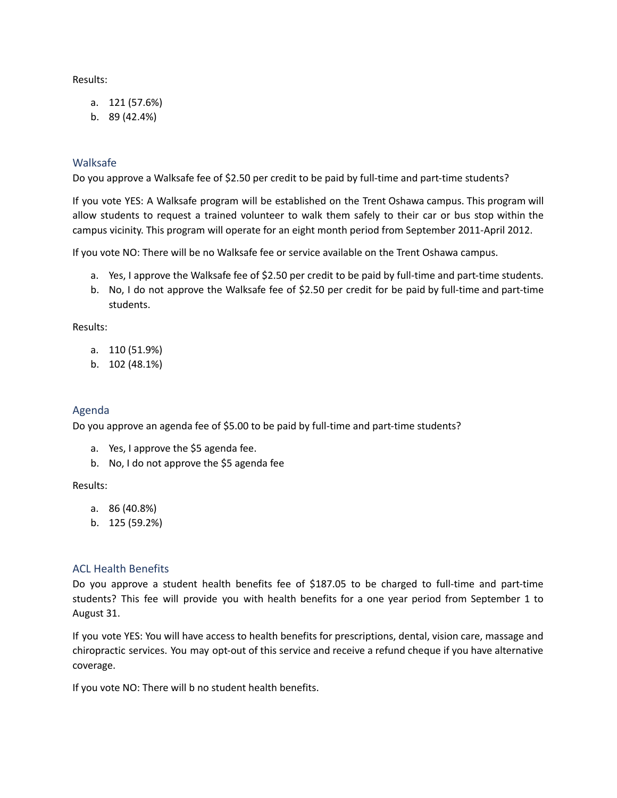Results:

- a. 121 (57.6%)
- b. 89 (42.4%)

### <span id="page-8-0"></span>Walksafe

Do you approve a Walksafe fee of \$2.50 per credit to be paid by full-time and part-time students?

If you vote YES: A Walksafe program will be established on the Trent Oshawa campus. This program will allow students to request a trained volunteer to walk them safely to their car or bus stop within the campus vicinity. This program will operate for an eight month period from September 2011-April 2012.

If you vote NO: There will be no Walksafe fee or service available on the Trent Oshawa campus.

- a. Yes, I approve the Walksafe fee of \$2.50 per credit to be paid by full-time and part-time students.
- b. No, I do not approve the Walksafe fee of \$2.50 per credit for be paid by full-time and part-time students.

Results:

- a. 110 (51.9%)
- b. 102 (48.1%)

### <span id="page-8-1"></span>Agenda

Do you approve an agenda fee of \$5.00 to be paid by full-time and part-time students?

- a. Yes, I approve the \$5 agenda fee.
- b. No, I do not approve the \$5 agenda fee

#### Results:

- a. 86 (40.8%)
- b. 125 (59.2%)

### <span id="page-8-2"></span>ACL Health Benefits

Do you approve a student health benefits fee of \$187.05 to be charged to full-time and part-time students? This fee will provide you with health benefits for a one year period from September 1 to August 31.

If you vote YES: You will have access to health benefits for prescriptions, dental, vision care, massage and chiropractic services. You may opt-out of this service and receive a refund cheque if you have alternative coverage.

If you vote NO: There will b no student health benefits.